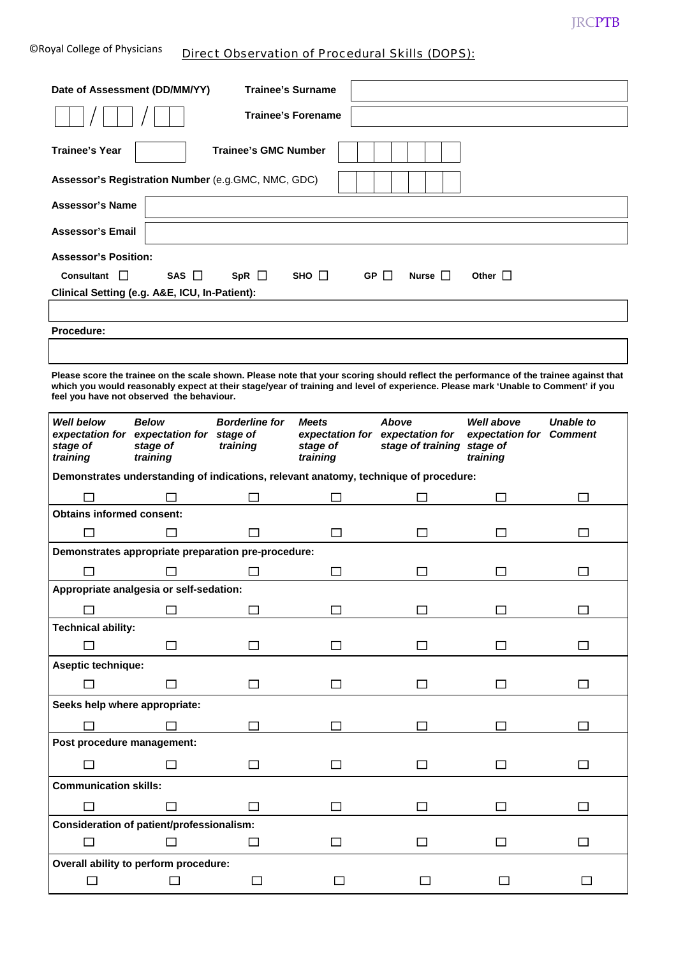| <b>CRoyal College of Physicians</b> | Direct Observation of Procedural Skills (DOPS): |
|-------------------------------------|-------------------------------------------------|
|-------------------------------------|-------------------------------------------------|

| Date of Assessment (DD/MM/YY)                                                                                                                                                                                                                                                                                           |                                      | <b>Trainee's Surname</b>          |                                                                         |  |        |             |       |                                                                                        |                  |
|-------------------------------------------------------------------------------------------------------------------------------------------------------------------------------------------------------------------------------------------------------------------------------------------------------------------------|--------------------------------------|-----------------------------------|-------------------------------------------------------------------------|--|--------|-------------|-------|----------------------------------------------------------------------------------------|------------------|
|                                                                                                                                                                                                                                                                                                                         |                                      | Trainee's Forename                |                                                                         |  |        |             |       |                                                                                        |                  |
| <b>Trainee's Year</b>                                                                                                                                                                                                                                                                                                   |                                      | <b>Trainee's GMC Number</b>       |                                                                         |  |        |             |       |                                                                                        |                  |
| Assessor's Registration Number (e.g.GMC, NMC, GDC)                                                                                                                                                                                                                                                                      |                                      |                                   |                                                                         |  |        |             |       |                                                                                        |                  |
| <b>Assessor's Name</b>                                                                                                                                                                                                                                                                                                  |                                      |                                   |                                                                         |  |        |             |       |                                                                                        |                  |
| <b>Assessor's Email</b>                                                                                                                                                                                                                                                                                                 |                                      |                                   |                                                                         |  |        |             |       |                                                                                        |                  |
| <b>Assessor's Position:</b>                                                                                                                                                                                                                                                                                             |                                      |                                   |                                                                         |  |        |             |       |                                                                                        |                  |
| Consultant                                                                                                                                                                                                                                                                                                              | SAS $\Box$                           | $SpR \Box$                        | $SHO$ $\Box$                                                            |  | GP I I |             | Nurse | Other $\Box$                                                                           |                  |
| Clinical Setting (e.g. A&E, ICU, In-Patient):                                                                                                                                                                                                                                                                           |                                      |                                   |                                                                         |  |        |             |       |                                                                                        |                  |
|                                                                                                                                                                                                                                                                                                                         |                                      |                                   |                                                                         |  |        |             |       |                                                                                        |                  |
| Procedure:                                                                                                                                                                                                                                                                                                              |                                      |                                   |                                                                         |  |        |             |       |                                                                                        |                  |
| Please score the trainee on the scale shown. Please note that your scoring should reflect the performance of the trainee against that<br>which you would reasonably expect at their stage/year of training and level of experience. Please mark 'Unable to Comment' if you<br>feel you have not observed the behaviour. |                                      |                                   |                                                                         |  |        |             |       |                                                                                        |                  |
| <b>Well below</b><br>expectation for expectation for stage of<br>stage of<br>training                                                                                                                                                                                                                                   | <b>Below</b><br>stage of<br>training | <b>Borderline for</b><br>training | <b>Meets</b><br>expectation for expectation for<br>stage of<br>training |  | Above  |             |       | <b>Well above</b><br>expectation for Comment<br>stage of training stage of<br>training | <b>Unable to</b> |
| Demonstrates understanding of indications, relevant anatomy, technique of procedure:                                                                                                                                                                                                                                    |                                      |                                   |                                                                         |  |        |             |       |                                                                                        |                  |
|                                                                                                                                                                                                                                                                                                                         |                                      |                                   |                                                                         |  |        |             |       |                                                                                        | $\Box$           |
| <b>Obtains informed consent:</b>                                                                                                                                                                                                                                                                                        |                                      |                                   |                                                                         |  |        |             |       |                                                                                        |                  |
|                                                                                                                                                                                                                                                                                                                         |                                      |                                   | <b>COL</b>                                                              |  |        | <b>Tall</b> |       | $\mathsf{L}$                                                                           | $\mathcal{L}$    |
| Demonstrates appropriate preparation pre-procedure:                                                                                                                                                                                                                                                                     |                                      |                                   |                                                                         |  |        |             |       |                                                                                        |                  |
|                                                                                                                                                                                                                                                                                                                         |                                      |                                   | l l                                                                     |  |        |             |       |                                                                                        |                  |
| Appropriate analgesia or self-sedation:                                                                                                                                                                                                                                                                                 | П                                    | П                                 |                                                                         |  |        | П           |       |                                                                                        |                  |
| <b>Technical ability:</b>                                                                                                                                                                                                                                                                                               |                                      |                                   |                                                                         |  |        |             |       |                                                                                        |                  |
| П                                                                                                                                                                                                                                                                                                                       | П                                    |                                   |                                                                         |  |        | П           |       | П                                                                                      | П                |
| Aseptic technique:                                                                                                                                                                                                                                                                                                      |                                      |                                   |                                                                         |  |        |             |       |                                                                                        |                  |
| П                                                                                                                                                                                                                                                                                                                       |                                      | $\mathsf{L}$                      |                                                                         |  |        | П           |       | П                                                                                      | П                |
| Seeks help where appropriate:                                                                                                                                                                                                                                                                                           |                                      |                                   |                                                                         |  |        |             |       |                                                                                        |                  |
|                                                                                                                                                                                                                                                                                                                         | П                                    | П                                 |                                                                         |  |        | П           |       | П                                                                                      | П                |
| Post procedure management:                                                                                                                                                                                                                                                                                              |                                      |                                   |                                                                         |  |        |             |       |                                                                                        |                  |
|                                                                                                                                                                                                                                                                                                                         |                                      |                                   |                                                                         |  |        |             |       |                                                                                        |                  |
| <b>Communication skills:</b>                                                                                                                                                                                                                                                                                            |                                      |                                   |                                                                         |  |        |             |       |                                                                                        |                  |
|                                                                                                                                                                                                                                                                                                                         |                                      |                                   |                                                                         |  |        |             |       | П                                                                                      | П                |
| Consideration of patient/professionalism:                                                                                                                                                                                                                                                                               |                                      |                                   |                                                                         |  |        |             |       |                                                                                        |                  |
| П                                                                                                                                                                                                                                                                                                                       | П                                    | П                                 | □                                                                       |  |        | □           |       | $\Box$                                                                                 | □                |
| Overall ability to perform procedure:                                                                                                                                                                                                                                                                                   |                                      |                                   |                                                                         |  |        |             |       |                                                                                        |                  |
| П                                                                                                                                                                                                                                                                                                                       | П                                    | $\Box$                            |                                                                         |  |        |             |       |                                                                                        |                  |